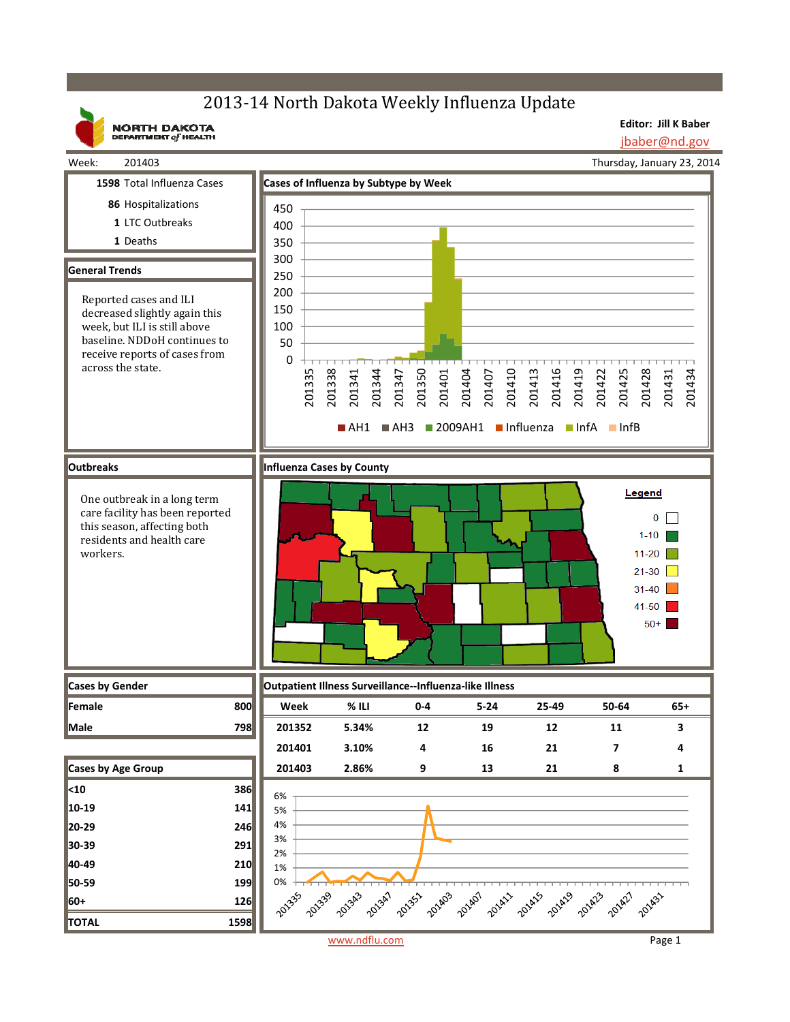# 2013-14 North Dakota Weekly Influenza Update

**NORTH DAKOTA**<br>DEPARTMENT of HEALTH

**Editor: Jill K Baber** jbaber@nd.gov